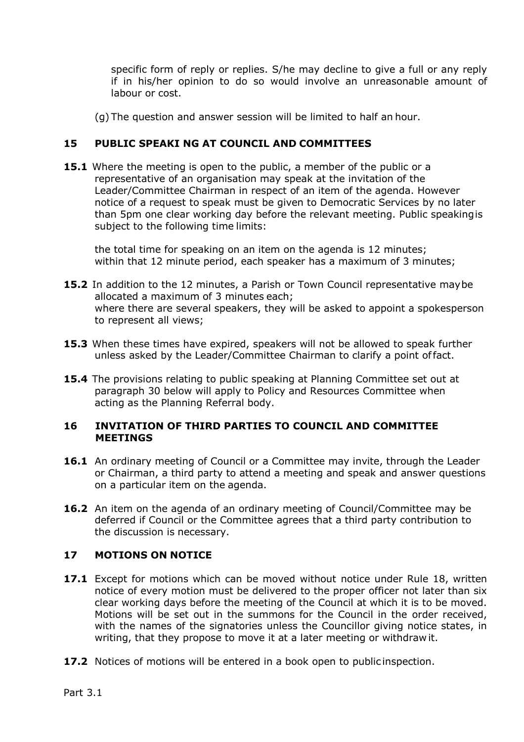specific form of reply or replies. S/he may decline to give a full or any reply if in his/her opinion to do so would involve an unreasonable amount of labour or cost.

(g) The question and answer session will be limited to half an hour.

# **15 PUBLIC SPEAKI NG AT COUNCIL AND COMMITTEES**

**15.1** Where the meeting is open to the public, a member of the public or a representative of an organisation may speak at the invitation of the Leader/Committee Chairman in respect of an item of the agenda. However notice of a request to speak must be given to Democratic Services by no later than 5pm one clear working day before the relevant meeting. Public speaking is subject to the following time limits:

the total time for speaking on an item on the agenda is 12 minutes; within that 12 minute period, each speaker has a maximum of 3 minutes;

- **15.2** In addition to the 12 minutes, a Parish or Town Council representative may be allocated a maximum of 3 minutes each; where there are several speakers, they will be asked to appoint a spokesperson to represent all views;
- **15.3** When these times have expired, speakers will not be allowed to speak further unless asked by the Leader/Committee Chairman to clarify a point of fact.
- **15.4** The provisions relating to public speaking at Planning Committee set out at paragraph 30 below will apply to Policy and Resources Committee when acting as the Planning Referral body.

#### **16 INVITATION OF THIRD PARTIES TO COUNCIL AND COMMITTEE MEETINGS**

- **16.1** An ordinary meeting of Council or a Committee may invite, through the Leader or Chairman, a third party to attend a meeting and speak and answer questions on a particular item on the agenda.
- **16.2** An item on the agenda of an ordinary meeting of Council/Committee may be deferred if Council or the Committee agrees that a third party contribution to the discussion is necessary.

## **17 MOTIONS ON NOTICE**

- **17.1** Except for motions which can be moved without notice under Rule 18, written notice of every motion must be delivered to the proper officer not later than six clear working days before the meeting of the Council at which it is to be moved. Motions will be set out in the summons for the Council in the order received, with the names of the signatories unless the Councillor giving notice states, in writing, that they propose to move it at a later meeting or withdraw it.
- **17.2** Notices of motions will be entered in a book open to public inspection.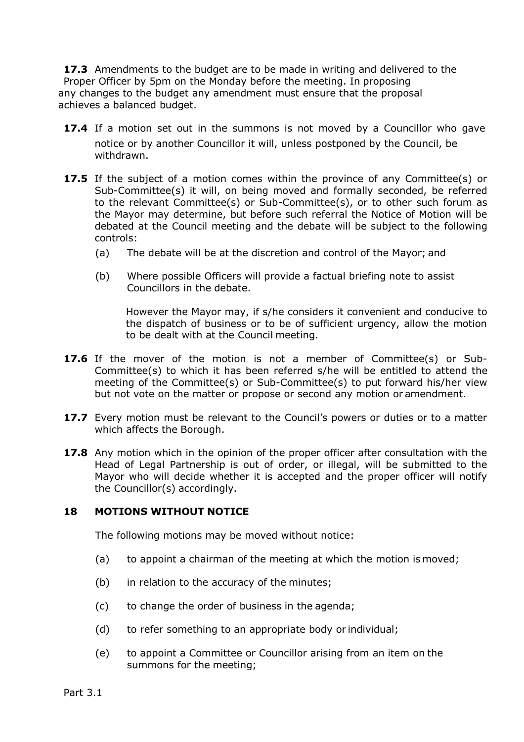**17.3** Amendments to the budget are to be made in writing and delivered to the Proper Officer by 5pm on the Monday before the meeting. In proposing any changes to the budget any amendment must ensure that the proposal achieves a balanced budget.

- **17.4** If a motion set out in the summons is not moved by a Councillor who gave notice or by another Councillor it will, unless postponed by the Council, be withdrawn.
- **17.5** If the subject of a motion comes within the province of any Committee(s) or Sub-Committee(s) it will, on being moved and formally seconded, be referred to the relevant Committee(s) or Sub-Committee(s), or to other such forum as the Mayor may determine, but before such referral the Notice of Motion will be debated at the Council meeting and the debate will be subject to the following controls:
	- (a) The debate will be at the discretion and control of the Mayor; and
	- (b) Where possible Officers will provide a factual briefing note to assist Councillors in the debate.

However the Mayor may, if s/he considers it convenient and conducive to the dispatch of business or to be of sufficient urgency, allow the motion to be dealt with at the Council meeting.

- **17.6** If the mover of the motion is not a member of Committee(s) or Sub-Committee(s) to which it has been referred s/he will be entitled to attend the meeting of the Committee(s) or Sub-Committee(s) to put forward his/her view but not vote on the matter or propose or second any motion or amendment.
- **17.7** Every motion must be relevant to the Council's powers or duties or to a matter which affects the Borough.
- **17.8** Any motion which in the opinion of the proper officer after consultation with the Head of Legal Partnership is out of order, or illegal, will be submitted to the Mayor who will decide whether it is accepted and the proper officer will notify the Councillor(s) accordingly.

## **18 MOTIONS WITHOUT NOTICE**

The following motions may be moved without notice:

- (a) to appoint a chairman of the meeting at which the motion is moved;
- (b) in relation to the accuracy of the minutes;
- (c) to change the order of business in the agenda;
- (d) to refer something to an appropriate body or individual;
- (e) to appoint a Committee or Councillor arising from an item on the summons for the meeting;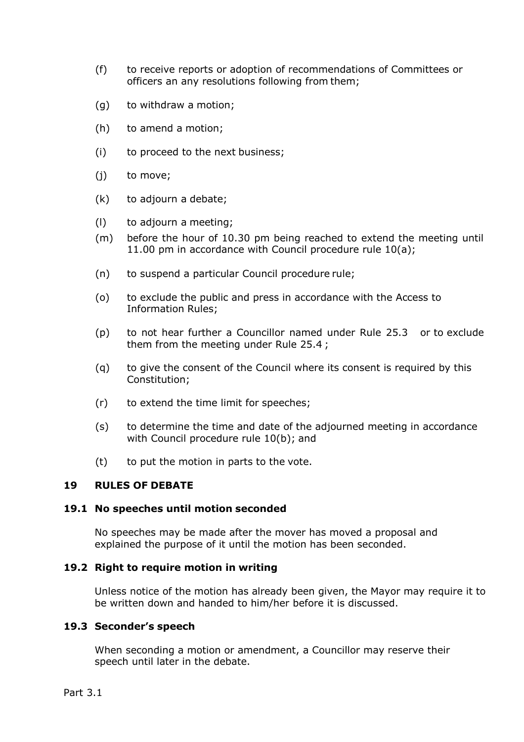- (f) to receive reports or adoption of recommendations of Committees or officers an any resolutions following from them;
- (g) to withdraw a motion;
- (h) to amend a motion;
- (i) to proceed to the next business;
- (j) to move;
- (k) to adjourn a debate;
- (l) to adjourn a meeting;
- (m) before the hour of 10.30 pm being reached to extend the meeting until 11.00 pm in accordance with Council procedure rule 10(a);
- (n) to suspend a particular Council procedure rule;
- (o) to exclude the public and press in accordance with the Access to Information Rules;
- (p) to not hear further a Councillor named under Rule 25.3 or to exclude them from the meeting under Rule 25.4 ;
- (q) to give the consent of the Council where its consent is required by this Constitution;
- (r) to extend the time limit for speeches;
- (s) to determine the time and date of the adjourned meeting in accordance with Council procedure rule 10(b); and
- (t) to put the motion in parts to the vote.

#### **19 RULES OF DEBATE**

#### **19.1 No speeches until motion seconded**

No speeches may be made after the mover has moved a proposal and explained the purpose of it until the motion has been seconded.

#### **19.2 Right to require motion in writing**

Unless notice of the motion has already been given, the Mayor may require it to be written down and handed to him/her before it is discussed.

#### **19.3 Seconder's speech**

When seconding a motion or amendment, a Councillor may reserve their speech until later in the debate.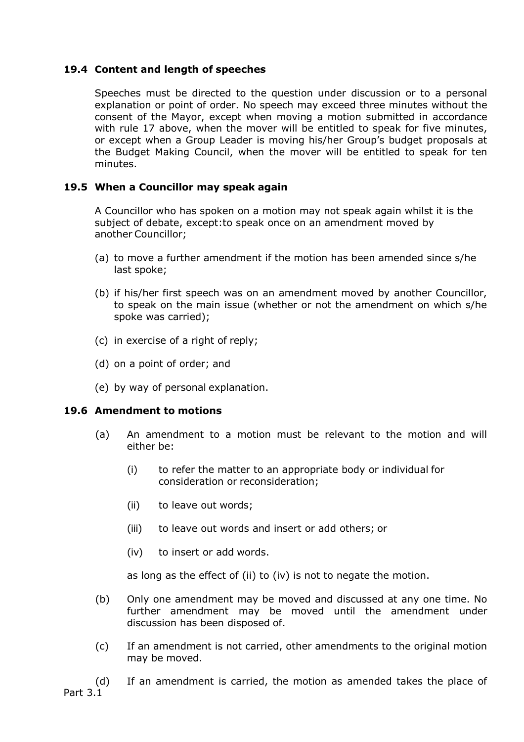# **19.4 Content and length of speeches**

Speeches must be directed to the question under discussion or to a personal explanation or point of order. No speech may exceed three minutes without the consent of the Mayor, except when moving a motion submitted in accordance with rule 17 above, when the mover will be entitled to speak for five minutes, or except when a Group Leader is moving his/her Group's budget proposals at the Budget Making Council, when the mover will be entitled to speak for ten minutes.

# **19.5 When a Councillor may speak again**

A Councillor who has spoken on a motion may not speak again whilst it is the subject of debate, except:to speak once on an amendment moved by another Councillor;

- (a) to move a further amendment if the motion has been amended since s/he last spoke;
- (b) if his/her first speech was on an amendment moved by another Councillor, to speak on the main issue (whether or not the amendment on which s/he spoke was carried);
- (c) in exercise of a right of reply;
- (d) on a point of order; and
- (e) by way of personal explanation.

## **19.6 Amendment to motions**

- (a) An amendment to a motion must be relevant to the motion and will either be:
	- (i) to refer the matter to an appropriate body or individual for consideration or reconsideration;
	- (ii) to leave out words;
	- (iii) to leave out words and insert or add others; or
	- (iv) to insert or add words.

as long as the effect of (ii) to (iv) is not to negate the motion.

- (b) Only one amendment may be moved and discussed at any one time. No further amendment may be moved until the amendment under discussion has been disposed of.
- (c) If an amendment is not carried, other amendments to the original motion may be moved.

Part 3.1 (d) If an amendment is carried, the motion as amended takes the place of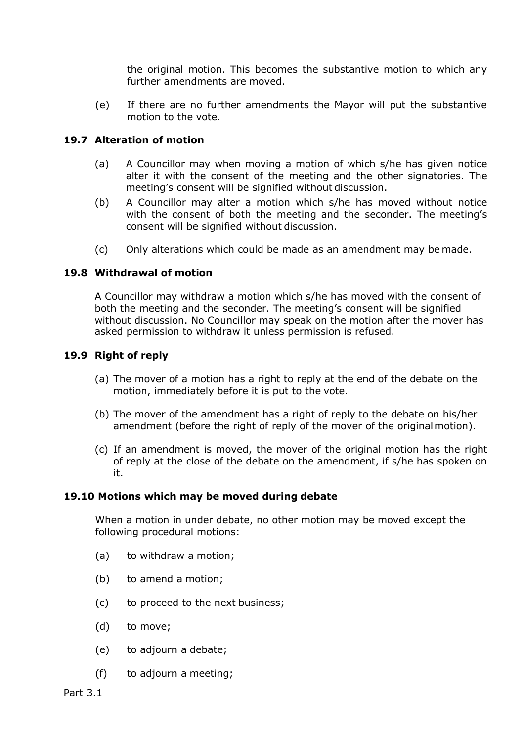the original motion. This becomes the substantive motion to which any further amendments are moved.

(e) If there are no further amendments the Mayor will put the substantive motion to the vote.

## **19.7 Alteration of motion**

- (a) A Councillor may when moving a motion of which s/he has given notice alter it with the consent of the meeting and the other signatories. The meeting's consent will be signified without discussion.
- (b) A Councillor may alter a motion which s/he has moved without notice with the consent of both the meeting and the seconder. The meeting's consent will be signified without discussion.
- (c) Only alterations which could be made as an amendment may be made.

# **19.8 Withdrawal of motion**

A Councillor may withdraw a motion which s/he has moved with the consent of both the meeting and the seconder. The meeting's consent will be signified without discussion. No Councillor may speak on the motion after the mover has asked permission to withdraw it unless permission is refused.

## **19.9 Right of reply**

- (a) The mover of a motion has a right to reply at the end of the debate on the motion, immediately before it is put to the vote.
- (b) The mover of the amendment has a right of reply to the debate on his/her amendment (before the right of reply of the mover of the original motion).
- (c) If an amendment is moved, the mover of the original motion has the right of reply at the close of the debate on the amendment, if s/he has spoken on it.

## **19.10 Motions which may be moved during debate**

When a motion in under debate, no other motion may be moved except the following procedural motions:

- (a) to withdraw a motion;
- (b) to amend a motion;
- (c) to proceed to the next business;
- (d) to move;
- (e) to adjourn a debate;
- (f) to adjourn a meeting;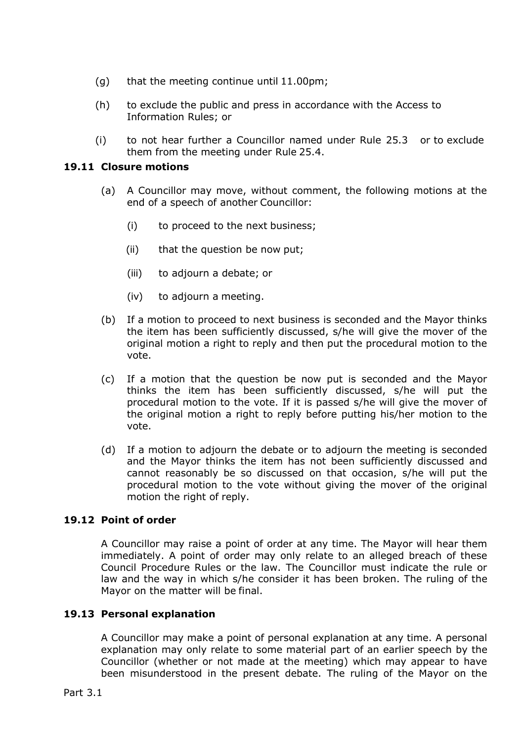- (g) that the meeting continue until 11.00pm;
- (h) to exclude the public and press in accordance with the Access to Information Rules; or
- (i) to not hear further a Councillor named under Rule 25.3 or to exclude them from the meeting under Rule 25.4.

# **19.11 Closure motions**

- (a) A Councillor may move, without comment, the following motions at the end of a speech of another Councillor:
	- (i) to proceed to the next business;
	- (ii) that the question be now put;
	- (iii) to adjourn a debate; or
	- (iv) to adjourn a meeting.
- (b) If a motion to proceed to next business is seconded and the Mayor thinks the item has been sufficiently discussed, s/he will give the mover of the original motion a right to reply and then put the procedural motion to the vote.
- (c) If a motion that the question be now put is seconded and the Mayor thinks the item has been sufficiently discussed, s/he will put the procedural motion to the vote. If it is passed s/he will give the mover of the original motion a right to reply before putting his/her motion to the vote.
- (d) If a motion to adjourn the debate or to adjourn the meeting is seconded and the Mayor thinks the item has not been sufficiently discussed and cannot reasonably be so discussed on that occasion, s/he will put the procedural motion to the vote without giving the mover of the original motion the right of reply.

## **19.12 Point of order**

A Councillor may raise a point of order at any time. The Mayor will hear them immediately. A point of order may only relate to an alleged breach of these Council Procedure Rules or the law. The Councillor must indicate the rule or law and the way in which s/he consider it has been broken. The ruling of the Mayor on the matter will be final.

## **19.13 Personal explanation**

A Councillor may make a point of personal explanation at any time. A personal explanation may only relate to some material part of an earlier speech by the Councillor (whether or not made at the meeting) which may appear to have been misunderstood in the present debate. The ruling of the Mayor on the